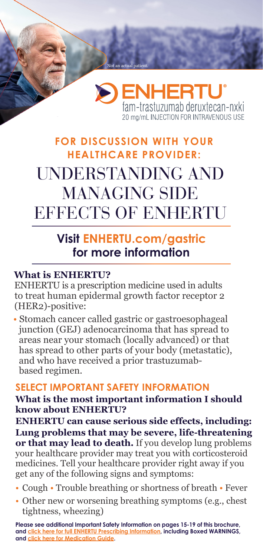

## **FOR DISCUSSION WITH YOUR HEALTHCARE PROVIDER:** UNDERSTANDING AND MANAGING SIDE EFFECTS OF ENHERTU

Iot an actual pati

## **Visit [ENHERTU.com/gastric](http://ENHERTU.com/gastric ) for more information**

#### **What is ENHERTU?**

ENHERTU is a prescription medicine used in adults to treat human epidermal growth factor receptor 2 (HER2)-positive:

• Stomach cancer called gastric or gastroesophageal junction (GEJ) adenocarcinoma that has spread to areas near your stomach (locally advanced) or that has spread to other parts of your body (metastatic), and who have received a prior trastuzumab based regimen.

### **SELECT IMPORTANT SAFETY INFORMATION**

#### **What is the most important information I should know about ENHERTU?**

**ENHERTU can cause serious side effects, including: Lung problems that may be severe, life-threatening or that may lead to death.** If you develop lung problems your healthcare provider may treat you with corticosteroid medicines. Tell your healthcare provider right away if you get any of the following signs and symptoms:

- Cough Trouble breathing or shortness of breath Fever
- Other new or worsening breathing symptoms (e.g., chest tightness, wheezing)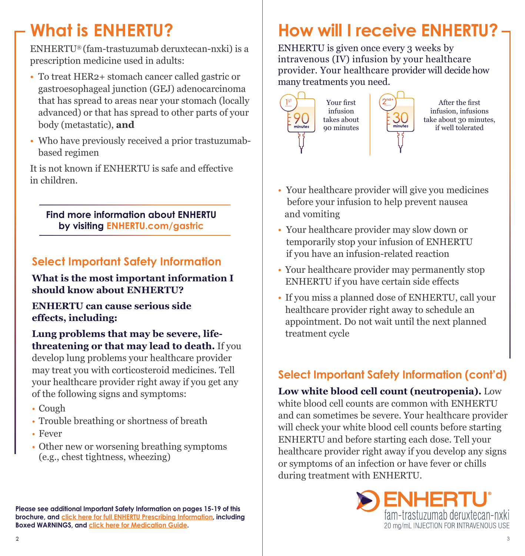# **What is ENHERTU?**

ENHERTU® (fam-trastuzumab deruxtecan-nxki) is a prescription medicine used in adults:

- To treat HER2+ stomach cancer called gastric or gastroesophageal junction (GEJ) adenocarcinoma that has spread to areas near your stomach (locally advanced) or that has spread to other parts of your body (metastatic), **and**
- Who have previously received a prior trastuzumab based regimen

It is not known if ENHERTU is safe and effective in children.

**Find more information about ENHERTU by visiting [ENHERTU.com/gastric](http://ENHERTU.com/gastric)**

## **Select Important Safety Information**

**What is the most important information I should know about ENHERTU?**

### **ENHERTU can cause serious side effects, including:**

**Lung problems that may be severe, lifethreatening or that may lead to death.** If you develop lung problems your healthcare provider may treat you with corticosteroid medicines. Tell your healthcare provider right away if you get any of the following signs and symptoms:

- Cough
- Trouble breathing or shortness of breath
- Fever
- Other new or worsening breathing symptoms (e.g., chest tightness, wheezing)

**Please see additional Important Safety Information on pages 15-19 of this brochure, and [click here for full ENHERTU Prescribing Information](https://daiichisankyo.us/prescribing-information-portlet/getPIContent?productName=Enhertu&inline=true), including Boxed WARNINGS, and [click here for Medication Guide](https://daiichisankyo.us/prescribing-information-portlet/getPIContent?productName=Enhertu_Med&inline=true).**

# **How will I receive ENHERTU?**

ENHERTU is given once every 3 weeks by intravenous (IV) infusion by your healthcare provider. Your healthcare provider will decide how many treatments you need.





After the first infusion, infusions take about 30 minutes, if well tolerated

- Your healthcare provider will give you medicines before your infusion to help prevent nausea and vomiting
- Your healthcare provider may slow down or temporarily stop your infusion of ENHERTU if you have an infusion-related reaction
- Your healthcare provider may permanently stop ENHERTU if you have certain side effects
- If you miss a planned dose of ENHERTU, call your healthcare provider right away to schedule an appointment. Do not wait until the next planned treatment cycle

## **Select Important Safety Information (cont'd)**

**Low white blood cell count (neutropenia).** Low white blood cell counts are common with ENHERTU and can sometimes be severe. Your healthcare provider will check your white blood cell counts before starting ENHERTU and before starting each dose. Tell your healthcare provider right away if you develop any signs or symptoms of an infection or have fever or chills during treatment with ENHERTU.

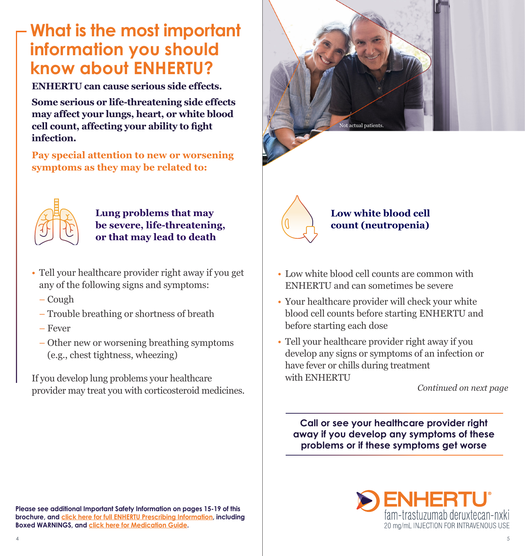# **What is the most important information you should know about ENHERTU?**

**ENHERTU can cause serious side effects.** 

**Some serious or life-threatening side effects may affect your lungs, heart, or white blood cell count, affecting your ability to fight infection.**

**Pay special attention to new or worsening symptoms as they may be related to:**



#### **Lung problems that may be severe, life-threatening, or that may lead to death**

- Tell your healthcare provider right away if you get any of the following signs and symptoms:
	- Cough
	- Trouble breathing or shortness of breath
	- Fever
	- Other new or worsening breathing symptoms (e.g., chest tightness, wheezing)

If you develop lung problems your healthcare provider may treat you with corticosteroid medicines.





### **Low white blood cell count (neutropenia)**

- Low white blood cell counts are common with ENHERTU and can sometimes be severe
- Your healthcare provider will check your white blood cell counts before starting ENHERTU and before starting each dose
- Tell your healthcare provider right away if you develop any signs or symptoms of an infection or have fever or chills during treatment with ENHERTU

*Continued on next page*

**Call or see your healthcare provider right away if you develop any symptoms of these problems or if these symptoms get worse**

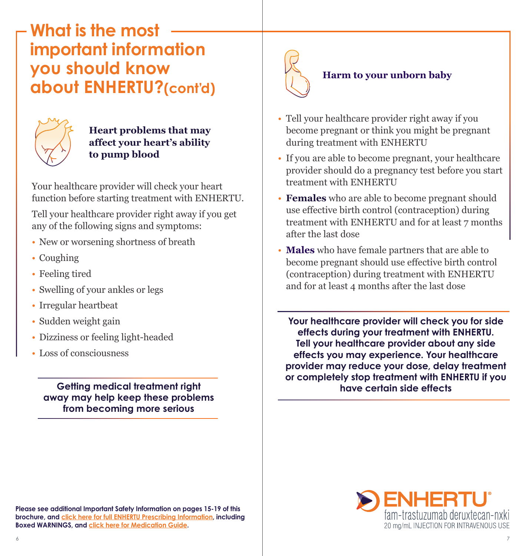## **What is the most important information you should know about ENHERTU?(cont'd)**



#### **Heart problems that may affect your heart's ability to pump blood**

Your healthcare provider will check your heart function before starting treatment with ENHERTU.

Tell your healthcare provider right away if you get any of the following signs and symptoms:

- New or worsening shortness of breath
- Coughing
- Feeling tired
- Swelling of your ankles or legs
- Irregular heartbeat
- Sudden weight gain
- Dizziness or feeling light-headed
- Loss of consciousness

### **Getting medical treatment right away may help keep these problems from becoming more serious**



### • Tell your healthcare provider right away if you become pregnant or think you might be pregnant during treatment with ENHERTU

- If you are able to become pregnant, your healthcare provider should do a pregnancy test before you start treatment with ENHERTU
- **Females** who are able to become pregnant should use effective birth control (contraception) during treatment with ENHERTU and for at least 7 months after the last dose
- **Males** who have female partners that are able to become pregnant should use effective birth control (contraception) during treatment with ENHERTU and for at least 4 months after the last dose

**Your healthcare provider will check you for side effects during your treatment with ENHERTU. Tell your healthcare provider about any side effects you may experience. Your healthcare provider may reduce your dose, delay treatment or completely stop treatment with ENHERTU if you have certain side effects**



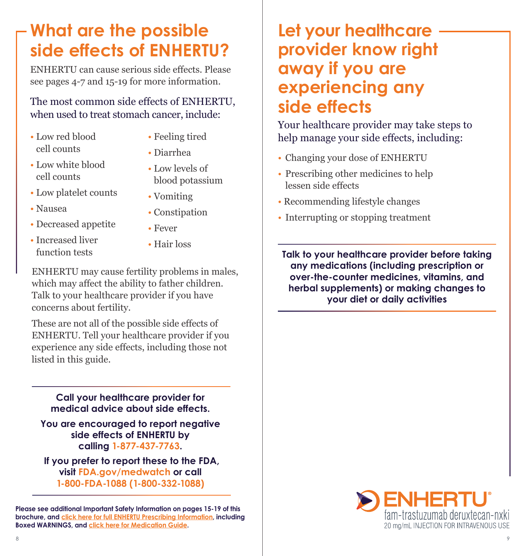# **What are the possible side effects of ENHERTU?**

ENHERTU can cause serious side effects. Please see pages 4-7 and 15-19 for more information.

### The most common side effects of ENHERTU, when used to treat stomach cancer, include:

- Low red blood cell counts
- Feeling tired • Diarrhea
- Low white blood cell counts
- Low levels of blood potassium

• Constipation

- Low platelet counts
- Nausea
- Decreased appetite
- Fever
- Increased liver function tests
- Hair loss

• Vomiting

ENHERTU may cause fertility problems in males, which may affect the ability to father children. Talk to your healthcare provider if you have concerns about fertility.

These are not all of the possible side effects of ENHERTU. Tell your healthcare provider if you experience any side effects, including those not listed in this guide.

#### **Call your healthcare provider for medical advice about side effects.**

**You are encouraged to report negative side effects of ENHERTU by calling 1-877-437-7763.**

 **If you prefer to report these to the FDA, visit [FDA.gov/medwatch](http://FDA.gov/medwatch) or call 1-800-FDA-1088 (1-800-332-1088)**

**Please see additional Important Safety Information on pages 15-19 of this brochure, and [click here for full ENHERTU Prescribing Information](https://daiichisankyo.us/prescribing-information-portlet/getPIContent?productName=Enhertu&inline=true), including Boxed WARNINGS, and [click here for Medication Guide](https://daiichisankyo.us/prescribing-information-portlet/getPIContent?productName=Enhertu_Med&inline=true).**

## **Let your healthcare provider know right away if you are experiencing any side effects**

Your healthcare provider may take steps to help manage your side effects, including:

- Changing your dose of ENHERTU
- Prescribing other medicines to help lessen side effects
- Recommending lifestyle changes
- Interrupting or stopping treatment

**Talk to your healthcare provider before taking any medications (including prescription or over-the-counter medicines, vitamins, and herbal supplements) or making changes to your diet or daily activities**

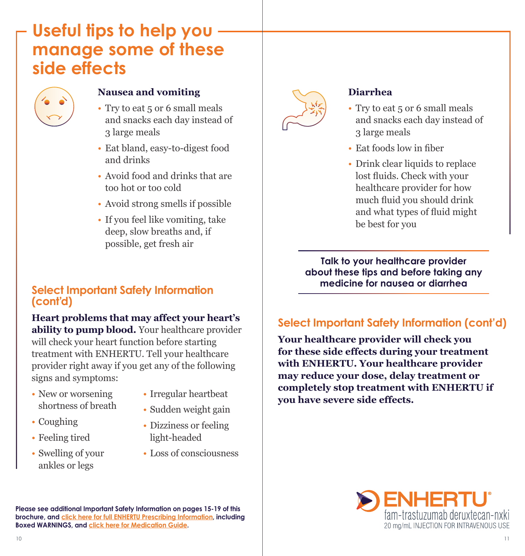## **Useful tips to help you manage some of these side effects**



#### **Nausea and vomiting**

- Try to eat 5 or 6 small meals and snacks each day instead of 3 large meals
- Eat bland, easy-to-digest food and drinks
- Avoid food and drinks that are too hot or too cold
- Avoid strong smells if possible
- If you feel like vomiting, take deep, slow breaths and, if possible, get fresh air

### **Select Important Safety Information (cont'd)**

**Heart problems that may affect your heart's ability to pump blood.** Your healthcare provider will check your heart function before starting treatment with ENHERTU. Tell your healthcare provider right away if you get any of the following signs and symptoms:

- New or worsening shortness of breath
- 
- Coughing
- Feeling tired
- Swelling of your ankles or legs
- Irregular heartbeat
- Sudden weight gain
- Dizziness or feeling light-headed
- Loss of consciousness



#### **Diarrhea**

- Try to eat 5 or 6 small meals and snacks each day instead of 3 large meals
- Eat foods low in fiber
- Drink clear liquids to replace lost fluids. Check with your healthcare provider for how much fluid you should drink and what types of fluid might be best for you

**Talk to your healthcare provider about these tips and before taking any medicine for nausea or diarrhea** 

## **Select Important Safety Information (cont'd)**

**Your healthcare provider will check you for these side effects during your treatment with ENHERTU. Your healthcare provider may reduce your dose, delay treatment or completely stop treatment with ENHERTU if you have severe side effects.**

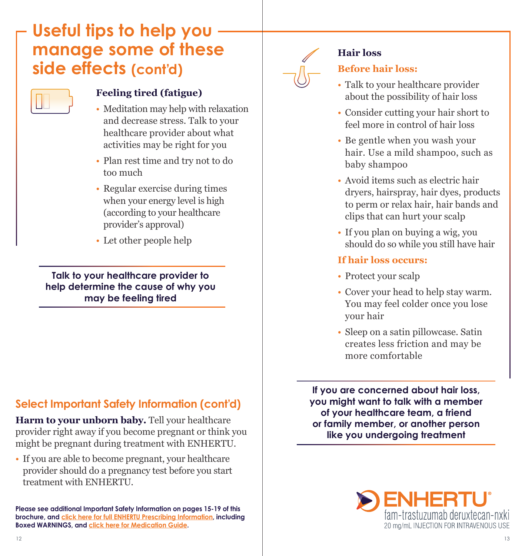# **Useful tips to help you manage some of these side effects (cont'd)**



#### **Feeling tired (fatigue)**

- Meditation may help with relaxation and decrease stress. Talk to your healthcare provider about what activities may be right for you
- Plan rest time and try not to do too much
- Regular exercise during times when your energy level is high (according to your healthcare provider's approval)
- Let other people help

**Talk to your healthcare provider to help determine the cause of why you may be feeling tired**

### **Select Important Safety Information (cont'd)**

Harm to your unborn baby. Tell your healthcare provider right away if you become pregnant or think you might be pregnant during treatment with ENHERTU.

• If you are able to become pregnant, your healthcare provider should do a pregnancy test before you start treatment with ENHERTU.

**Please see additional Important Safety Information on pages 15-19 of this brochure, and [click here for full ENHERTU Prescribing Information](https://daiichisankyo.us/prescribing-information-portlet/getPIContent?productName=Enhertu&inline=true), including Boxed WARNINGS, and [click here for Medication Guide](https://daiichisankyo.us/prescribing-information-portlet/getPIContent?productName=Enhertu_Med&inline=true).**



#### **Hair loss**

### **Before hair loss:**

- Talk to your healthcare provider about the possibility of hair loss
- Consider cutting your hair short to feel more in control of hair loss
- Be gentle when you wash your hair. Use a mild shampoo, such as baby shampoo
- Avoid items such as electric hair dryers, hairspray, hair dyes, products to perm or relax hair, hair bands and clips that can hurt your scalp
- If you plan on buying a wig, you should do so while you still have hair

#### **If hair loss occurs:**

- Protect your scalp
- Cover your head to help stay warm. You may feel colder once you lose your hair
- Sleep on a satin pillowcase. Satin creates less friction and may be more comfortable

**If you are concerned about hair loss, you might want to talk with a member of your healthcare team, a friend or family member, or another person like you undergoing treatment**

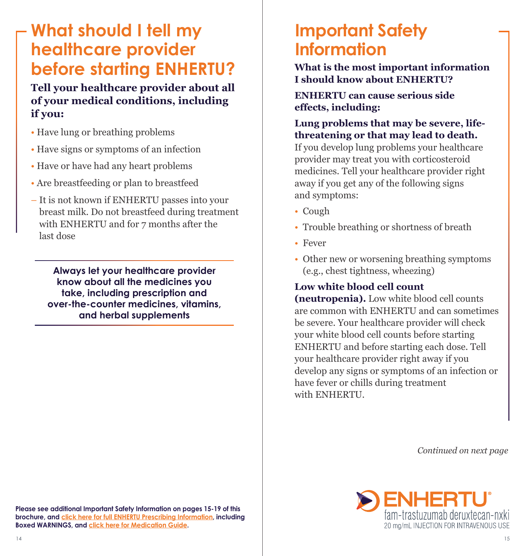# **What should I tell my healthcare provider before starting ENHERTU?**

**Tell your healthcare provider about all of your medical conditions, including if you:**

- Have lung or breathing problems
- Have signs or symptoms of an infection
- Have or have had any heart problems
- Are breastfeeding or plan to breastfeed
- It is not known if ENHERTU passes into your breast milk. Do not breastfeed during treatment with ENHERTU and for 7 months after the last dose

**Always let your healthcare provider know about all the medicines you take, including prescription and over-the-counter medicines, vitamins, and herbal supplements**

## **Important Safety Information**

**What is the most important information I should know about ENHERTU?**

**ENHERTU can cause serious side effects, including:**

**Lung problems that may be severe, lifethreatening or that may lead to death.** 

If you develop lung problems your healthcare provider may treat you with corticosteroid medicines. Tell your healthcare provider right away if you get any of the following signs and symptoms:

- Cough
- Trouble breathing or shortness of breath
- Fever
- Other new or worsening breathing symptoms (e.g., chest tightness, wheezing)

### **Low white blood cell count**

**(neutropenia).** Low white blood cell counts are common with ENHERTU and can sometimes be severe. Your healthcare provider will check your white blood cell counts before starting ENHERTU and before starting each dose. Tell your healthcare provider right away if you develop any signs or symptoms of an infection or have fever or chills during treatment with ENHERTU.

*Continued on next page*

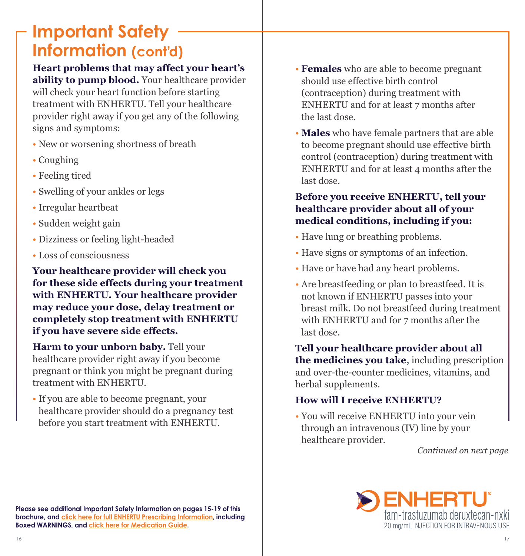## **Important Safety Information (cont'd)**

### **Heart problems that may affect your heart's ability to pump blood.** Your healthcare provider

will check your heart function before starting treatment with ENHERTU. Tell your healthcare provider right away if you get any of the following signs and symptoms:

- New or worsening shortness of breath
- Coughing
- Feeling tired
- Swelling of your ankles or legs
- Irregular heartbeat
- Sudden weight gain
- Dizziness or feeling light-headed
- Loss of consciousness

**Your healthcare provider will check you for these side effects during your treatment with ENHERTU. Your healthcare provider may reduce your dose, delay treatment or completely stop treatment with ENHERTU if you have severe side effects.**

**Harm to your unborn baby.** Tell your healthcare provider right away if you become pregnant or think you might be pregnant during treatment with ENHERTU.

• If you are able to become pregnant, your healthcare provider should do a pregnancy test before you start treatment with ENHERTU.

- **Females** who are able to become pregnant should use effective birth control (contraception) during treatment with ENHERTU and for at least 7 months after the last dose.
- **Males** who have female partners that are able to become pregnant should use effective birth control (contraception) during treatment with ENHERTU and for at least  $\Delta$  months after the last dose.

### **Before you receive ENHERTU, tell your healthcare provider about all of your medical conditions, including if you:**

- Have lung or breathing problems.
- Have signs or symptoms of an infection.
- Have or have had any heart problems.
- Are breastfeeding or plan to breastfeed. It is not known if ENHERTU passes into your breast milk. Do not breastfeed during treatment with ENHERTU and for 7 months after the last dose.

**Tell your healthcare provider about all the medicines you take,** including prescription and over-the-counter medicines, vitamins, and herbal supplements.

### **How will I receive ENHERTU?**

• You will receive ENHERTU into your vein through an intravenous (IV) line by your healthcare provider.

*Continued on next page*

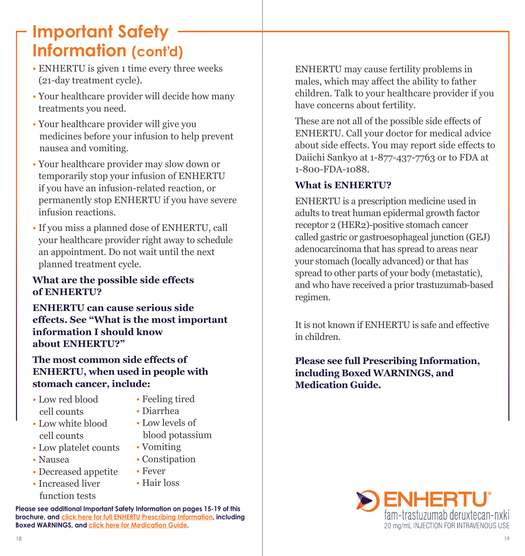# **Important Safety Information (cont'd)**

- ENHERTU is given 1 time every three weeks (21-day treatment cycle).
- Your healthcare provider will decide how many treatments you need.
- Your healthcare provider will give you medicines before your infusion to help prevent nausea and vomiting.
- Your healthcare provider may slow down or temporarily stop your infusion of ENHERTU if you have an infusion-related reaction, or permanently stop ENHERTU if you have severe infusion reactions.
- If you miss a planned dose of ENHERTU, call your healthcare provider right away to schedule an appointment. Do not wait until the next planned treatment cycle.

#### **What are the possible side effects of ENHERTU?**

**ENHERTU can cause serious side effects. See "What is the most important information I should know about ENHERTU?"**

**The most common side effects of ENHERTU, when used in people with stomach cancer, include:**

- Low red blood cell counts
	-
- Low white blood cell counts
- Low platelet counts
- Nausea
- Decreased appetite
- Increased liver function tests
- Feeling tired • Diarrhea
- Low levels of
- blood potassium
- Vomiting
- Constipation
- Fever
- 
- Hair loss

**Please see additional Important Safety Information on pages 15-19 of this brochure, and [click here for full ENHERTU Prescribing Information](https://daiichisankyo.us/prescribing-information-portlet/getPIContent?productName=Enhertu&inline=true), including Boxed WARNINGS, and [click here for Medication Guide](https://daiichisankyo.us/prescribing-information-portlet/getPIContent?productName=Enhertu_Med&inline=true).**

ENHERTU may cause fertility problems in males, which may affect the ability to father children. Talk to your healthcare provider if you have concerns about fertility.

These are not all of the possible side effects of ENHERTU. Call your doctor for medical advice about side effects. You may report side effects to Daiichi Sankyo at 1-877-437-7763 or to FDA at 1-800-FDA-1088.

### **What is ENHERTU?**

ENHERTU is a prescription medicine used in adults to treat human epidermal growth factor receptor 2 (HER2)-positive stomach cancer called gastric or gastroesophageal junction (GEJ) adenocarcinoma that has spread to areas near your stomach (locally advanced) or that has spread to other parts of your body (metastatic), and who have received a prior trastuzumab-based regimen.

It is not known if ENHERTU is safe and effective in children.

**Please see full Prescribing Information, including Boxed WARNINGS, and Medication Guide.**